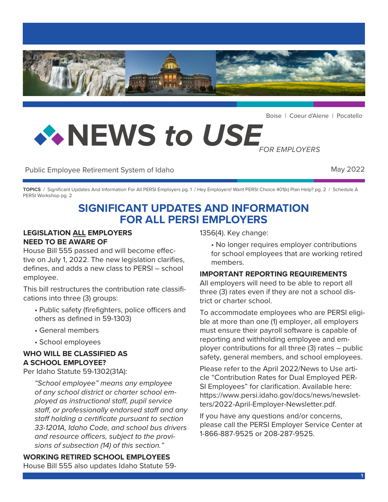

Boise | Coeur d'Alene | Pocatello

# **NEWS** *to USE FOR EMPLOYERS*

Public Employee Retirement System of Idaho May 2022

**TOPICS** / Significant Updates And Information For All PERSI Employers pg. 1 / Hey Employers! Want PERSI Choice 401(k) Plan Help? pg. 2 / Schedule A PERSI Workshop pg. 2

# **SIGNIFICANT UPDATES AND INFORMATION FOR ALL PERSI EMPLOYERS**

#### **LEGISLATION ALL EMPLOYERS NEED TO BE AWARE OF**

House Bill 555 passed and will become effective on July 1, 2022. The new legislation clarifies, defines, and adds a new class to PERSI – school employee.

This bill restructures the contribution rate classifications into three (3) groups:

- Public safety (firefighters, police officers and others as defined in 59-1303)
- General members
- School employees

#### **WHO WILL BE CLASSIFIED AS A SCHOOL EMPLOYEE?**

Per Idaho Statute 59-1302(31A):

*"School employee" means any employee of any school district or charter school employed as instructional staff, pupil service staff, or professionally endorsed staff and any staff holding a certificate pursuant to section 33-1201A, Idaho Code, and school bus drivers and resource officers, subject to the provisions of subsection (14) of this section."*

**WORKING RETIRED SCHOOL EMPLOYEES** House Bill 555 also updates Idaho Statute 591356(4). Key change:

• No longer requires employer contributions for school employees that are working retired members.

#### **IMPORTANT REPORTING REQUIREMENTS**

All employers will need to be able to report all three (3) rates even if they are not a school district or charter school.

To accommodate employees who are PERSI eligible at more than one (1) employer, all employers must ensure their payroll software is capable of reporting and withholding employee and employer contributions for all three (3) rates – public safety, general members, and school employees.

Please refer to the April 2022/News to Use article "Contribution Rates for Dual Employed PER-SI Employees" for clarification. Available here: [https://www.persi.idaho.gov/docs/news/newslet](https://www.persi.idaho.gov/docs/news/newsletters/2022-April-Employer-Newsletter.pdf)[ters/2022-April-Employer-Newsletter.pdf.](https://www.persi.idaho.gov/docs/news/newsletters/2022-April-Employer-Newsletter.pdf)

If you have any questions and/or concerns, please call the PERSI Employer Service Center at 1-866-887-9525 or 208-287-9525.